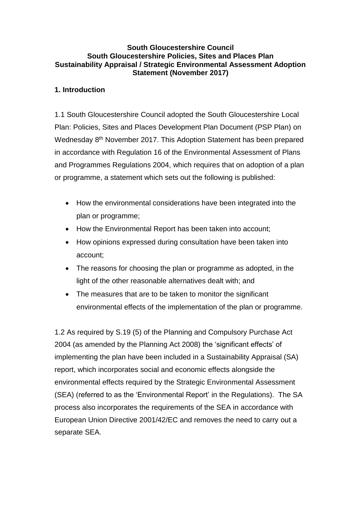#### **South Gloucestershire Council South Gloucestershire Policies, Sites and Places Plan Sustainability Appraisal / Strategic Environmental Assessment Adoption Statement (November 2017)**

### **1. Introduction**

1.1 South Gloucestershire Council adopted the South Gloucestershire Local Plan: Policies, Sites and Places Development Plan Document (PSP Plan) on Wednesday 8<sup>th</sup> November 2017. This Adoption Statement has been prepared in accordance with Regulation 16 of the Environmental Assessment of Plans and Programmes Regulations 2004, which requires that on adoption of a plan or programme, a statement which sets out the following is published:

- How the environmental considerations have been integrated into the plan or programme;
- How the Environmental Report has been taken into account;
- How opinions expressed during consultation have been taken into account;
- The reasons for choosing the plan or programme as adopted, in the light of the other reasonable alternatives dealt with; and
- The measures that are to be taken to monitor the significant environmental effects of the implementation of the plan or programme.

1.2 As required by S.19 (5) of the Planning and Compulsory Purchase Act 2004 (as amended by the Planning Act 2008) the 'significant effects' of implementing the plan have been included in a Sustainability Appraisal (SA) report, which incorporates social and economic effects alongside the environmental effects required by the Strategic Environmental Assessment (SEA) (referred to as the 'Environmental Report' in the Regulations). The SA process also incorporates the requirements of the SEA in accordance with European Union Directive 2001/42/EC and removes the need to carry out a separate SEA.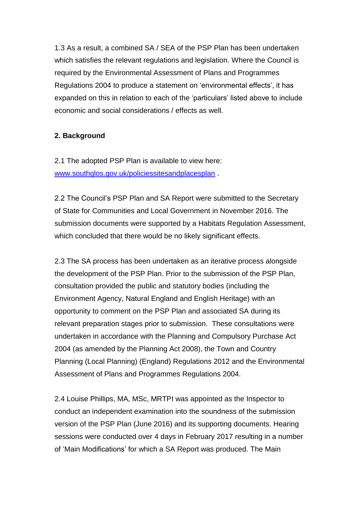1.3 As a result, a combined SA / SEA of the PSP Plan has been undertaken which satisfies the relevant regulations and legislation. Where the Council is required by the Environmental Assessment of Plans and Programmes Regulations 2004 to produce a statement on 'environmental effects', it has expanded on this in relation to each of the 'particulars' listed above to include economic and social considerations / effects as well.

## **2. Background**

2.1 The adopted PSP Plan is available to view here: [www.southglos.gov.uk/policiessitesandplacesplan](http://www.southglos.gov.uk/policiessitesandplacesplan) .

2.2 The Council's PSP Plan and SA Report were submitted to the Secretary of State for Communities and Local Government in November 2016. The submission documents were supported by a Habitats Regulation Assessment, which concluded that there would be no likely significant effects.

2.3 The SA process has been undertaken as an iterative process alongside the development of the PSP Plan. Prior to the submission of the PSP Plan, consultation provided the public and statutory bodies (including the Environment Agency, Natural England and English Heritage) with an opportunity to comment on the PSP Plan and associated SA during its relevant preparation stages prior to submission. These consultations were undertaken in accordance with the Planning and Compulsory Purchase Act 2004 (as amended by the Planning Act 2008), the Town and Country Planning (Local Planning) (England) Regulations 2012 and the Environmental Assessment of Plans and Programmes Regulations 2004.

2.4 Louise Phillips, MA, MSc, MRTPI was appointed as the Inspector to conduct an independent examination into the soundness of the submission version of the PSP Plan (June 2016) and its supporting documents. Hearing sessions were conducted over 4 days in February 2017 resulting in a number of 'Main Modifications' for which a SA Report was produced. The Main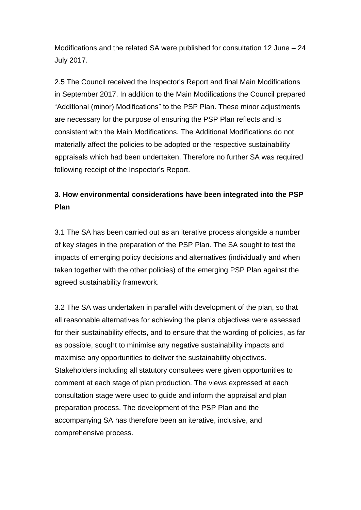Modifications and the related SA were published for consultation 12 June – 24 July 2017.

2.5 The Council received the Inspector's Report and final Main Modifications in September 2017. In addition to the Main Modifications the Council prepared "Additional (minor) Modifications" to the PSP Plan. These minor adjustments are necessary for the purpose of ensuring the PSP Plan reflects and is consistent with the Main Modifications. The Additional Modifications do not materially affect the policies to be adopted or the respective sustainability appraisals which had been undertaken. Therefore no further SA was required following receipt of the Inspector's Report.

# **3. How environmental considerations have been integrated into the PSP Plan**

3.1 The SA has been carried out as an iterative process alongside a number of key stages in the preparation of the PSP Plan. The SA sought to test the impacts of emerging policy decisions and alternatives (individually and when taken together with the other policies) of the emerging PSP Plan against the agreed sustainability framework.

3.2 The SA was undertaken in parallel with development of the plan, so that all reasonable alternatives for achieving the plan's objectives were assessed for their sustainability effects, and to ensure that the wording of policies, as far as possible, sought to minimise any negative sustainability impacts and maximise any opportunities to deliver the sustainability objectives. Stakeholders including all statutory consultees were given opportunities to comment at each stage of plan production. The views expressed at each consultation stage were used to guide and inform the appraisal and plan preparation process. The development of the PSP Plan and the accompanying SA has therefore been an iterative, inclusive, and comprehensive process.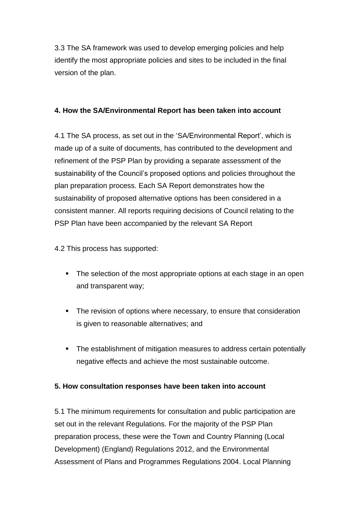3.3 The SA framework was used to develop emerging policies and help identify the most appropriate policies and sites to be included in the final version of the plan.

#### **4. How the SA/Environmental Report has been taken into account**

4.1 The SA process, as set out in the 'SA/Environmental Report', which is made up of a suite of documents, has contributed to the development and refinement of the PSP Plan by providing a separate assessment of the sustainability of the Council's proposed options and policies throughout the plan preparation process. Each SA Report demonstrates how the sustainability of proposed alternative options has been considered in a consistent manner. All reports requiring decisions of Council relating to the PSP Plan have been accompanied by the relevant SA Report

4.2 This process has supported:

- The selection of the most appropriate options at each stage in an open and transparent way;
- The revision of options where necessary, to ensure that consideration is given to reasonable alternatives; and
- The establishment of mitigation measures to address certain potentially negative effects and achieve the most sustainable outcome.

## **5. How consultation responses have been taken into account**

5.1 The minimum requirements for consultation and public participation are set out in the relevant Regulations. For the majority of the PSP Plan preparation process, these were the Town and Country Planning (Local Development) (England) Regulations 2012, and the Environmental Assessment of Plans and Programmes Regulations 2004. Local Planning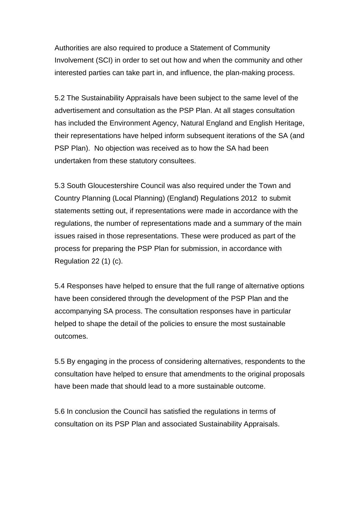Authorities are also required to produce a Statement of Community Involvement (SCI) in order to set out how and when the community and other interested parties can take part in, and influence, the plan-making process.

5.2 The Sustainability Appraisals have been subject to the same level of the advertisement and consultation as the PSP Plan. At all stages consultation has included the Environment Agency, Natural England and English Heritage, their representations have helped inform subsequent iterations of the SA (and PSP Plan). No objection was received as to how the SA had been undertaken from these statutory consultees.

5.3 South Gloucestershire Council was also required under the Town and Country Planning (Local Planning) (England) Regulations 2012 to submit statements setting out, if representations were made in accordance with the regulations, the number of representations made and a summary of the main issues raised in those representations. These were produced as part of the process for preparing the PSP Plan for submission, in accordance with Regulation 22 (1) (c).

5.4 Responses have helped to ensure that the full range of alternative options have been considered through the development of the PSP Plan and the accompanying SA process. The consultation responses have in particular helped to shape the detail of the policies to ensure the most sustainable outcomes.

5.5 By engaging in the process of considering alternatives, respondents to the consultation have helped to ensure that amendments to the original proposals have been made that should lead to a more sustainable outcome.

5.6 In conclusion the Council has satisfied the regulations in terms of consultation on its PSP Plan and associated Sustainability Appraisals.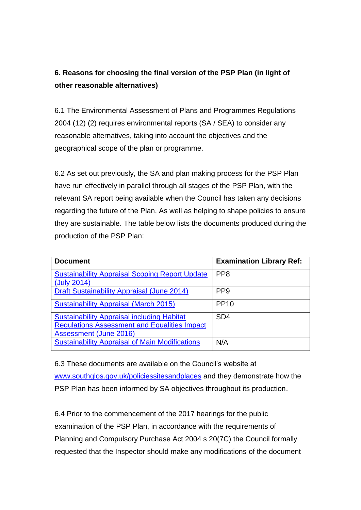# **6. Reasons for choosing the final version of the PSP Plan (in light of other reasonable alternatives)**

6.1 The Environmental Assessment of Plans and Programmes Regulations 2004 (12) (2) requires environmental reports (SA / SEA) to consider any reasonable alternatives, taking into account the objectives and the geographical scope of the plan or programme.

6.2 As set out previously, the SA and plan making process for the PSP Plan have run effectively in parallel through all stages of the PSP Plan, with the relevant SA report being available when the Council has taken any decisions regarding the future of the Plan. As well as helping to shape policies to ensure they are sustainable. The table below lists the documents produced during the production of the PSP Plan:

| <b>Document</b>                                                      | <b>Examination Library Ref:</b> |
|----------------------------------------------------------------------|---------------------------------|
| <b>Sustainability Appraisal Scoping Report Update</b><br>(July 2014) | PP <sub>8</sub>                 |
| <b>Draft Sustainability Appraisal (June 2014)</b>                    | PP <sub>9</sub>                 |
| <b>Sustainability Appraisal (March 2015)</b>                         | <b>PP10</b>                     |
| <b>Sustainability Appraisal including Habitat</b>                    | SD <sub>4</sub>                 |
| <b>Regulations Assessment and Equalities Impact</b>                  |                                 |
| <b>Assessment (June 2016)</b>                                        |                                 |
| <b>Sustainability Appraisal of Main Modifications</b>                | N/A                             |

6.3 These documents are available on the Council's website at [www.southglos.gov.uk/policiessitesandplaces](http://www.southglos.gov.uk/policiessitesandplaces) and they demonstrate how the PSP Plan has been informed by SA objectives throughout its production.

6.4 Prior to the commencement of the 2017 hearings for the public examination of the PSP Plan, in accordance with the requirements of Planning and Compulsory Purchase Act 2004 s 20(7C) the Council formally requested that the Inspector should make any modifications of the document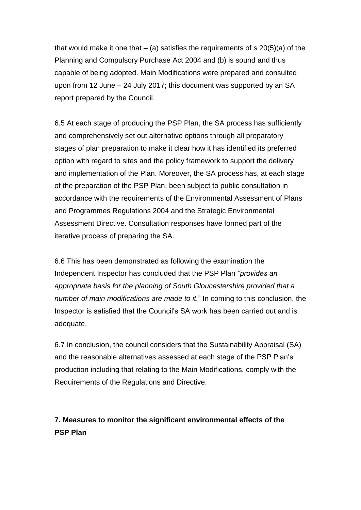that would make it one that  $-$  (a) satisfies the requirements of s  $20(5)(a)$  of the Planning and Compulsory Purchase Act 2004 and (b) is sound and thus capable of being adopted. Main Modifications were prepared and consulted upon from 12 June – 24 July 2017; this document was supported by an SA report prepared by the Council.

6.5 At each stage of producing the PSP Plan, the SA process has sufficiently and comprehensively set out alternative options through all preparatory stages of plan preparation to make it clear how it has identified its preferred option with regard to sites and the policy framework to support the delivery and implementation of the Plan. Moreover, the SA process has, at each stage of the preparation of the PSP Plan, been subject to public consultation in accordance with the requirements of the Environmental Assessment of Plans and Programmes Regulations 2004 and the Strategic Environmental Assessment Directive. Consultation responses have formed part of the iterative process of preparing the SA.

6.6 This has been demonstrated as following the examination the Independent Inspector has concluded that the PSP Plan *"provides an appropriate basis for the planning of South Gloucestershire provided that a number of main modifications are made to it.*" In coming to this conclusion, the Inspector is satisfied that the Council's SA work has been carried out and is adequate.

6.7 In conclusion, the council considers that the Sustainability Appraisal (SA) and the reasonable alternatives assessed at each stage of the PSP Plan's production including that relating to the Main Modifications, comply with the Requirements of the Regulations and Directive.

# **7. Measures to monitor the significant environmental effects of the PSP Plan**